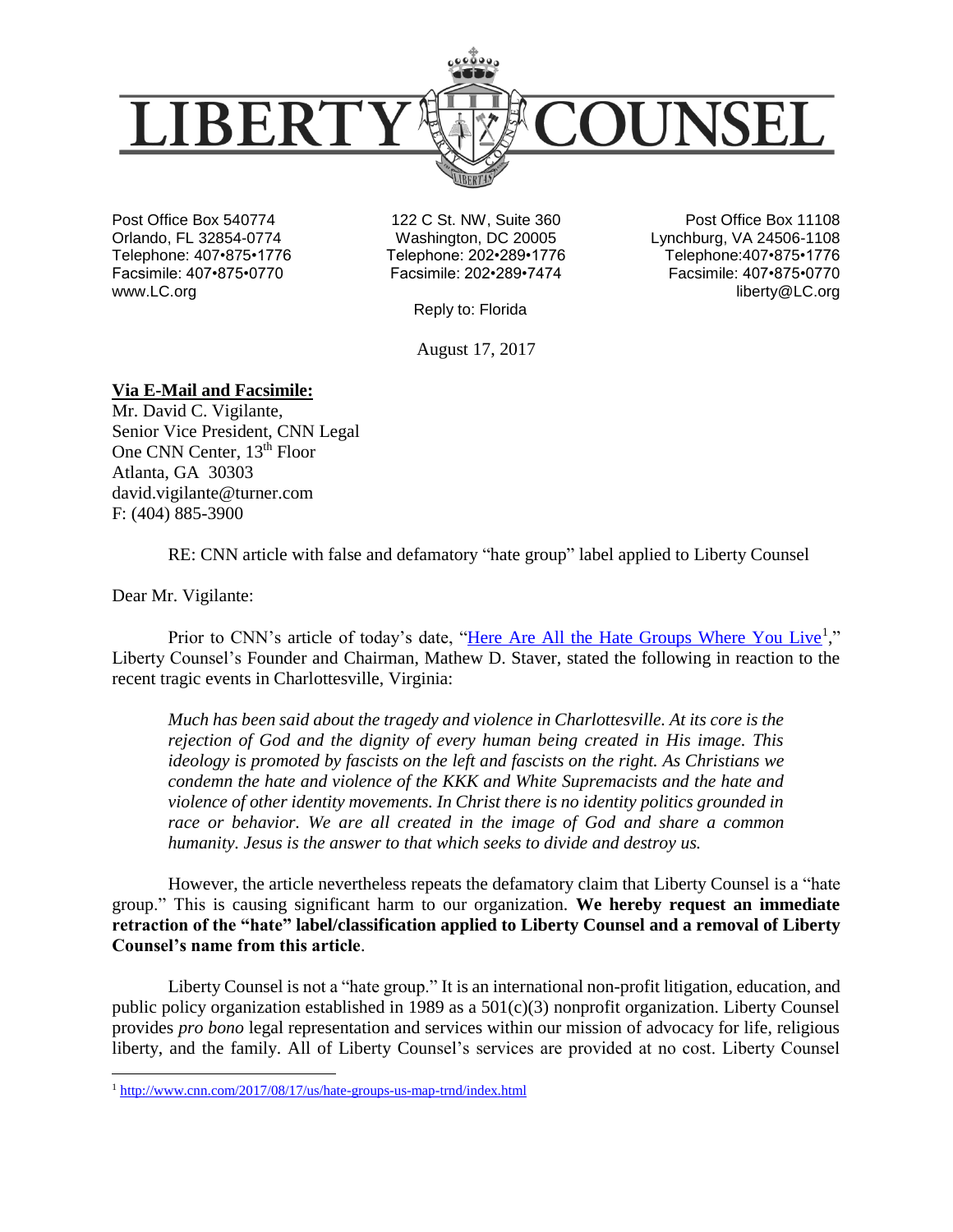

Post Office Box 540774 Orlando, FL 32854-0774 Telephone: 407•875•1776 Facsimile: 407•875•0770 www.LC.org

122 C St. NW, Suite 360 Washington, DC 20005 Telephone: 202•289•1776 Facsimile: 202•289•7474

Reply to: Florida

August 17, 2017

Post Office Box 11108 Lynchburg, VA 24506-1108 Telephone:407•875•1776 Facsimile: 407•875•0770 liberty@LC.org

## **Via E-Mail and Facsimile:**

Mr. David C. Vigilante, Senior Vice President, CNN Legal One CNN Center, 13<sup>th</sup> Floor Atlanta, GA 30303 david.vigilante@turner.com F: (404) 885-3900

RE: CNN article with false and defamatory "hate group" label applied to Liberty Counsel

Dear Mr. Vigilante:

 $\overline{a}$ 

Prior to CNN's article of today's date, ["Here Are All the Hate Groups Where You Live](http://www.cnn.com/2017/08/17/us/hate-groups-us-map-trnd/index.html)<sup>1</sup>," Liberty Counsel's Founder and Chairman, Mathew D. Staver, stated the following in reaction to the recent tragic events in Charlottesville, Virginia:

*Much has been said about the tragedy and violence in Charlottesville. At its core is the rejection of God and the dignity of every human being created in His image. This ideology is promoted by fascists on the left and fascists on the right. As Christians we condemn the hate and violence of the KKK and White Supremacists and the hate and violence of other identity movements. In Christ there is no identity politics grounded in race or behavior. We are all created in the image of God and share a common humanity. Jesus is the answer to that which seeks to divide and destroy us.*

However, the article nevertheless repeats the defamatory claim that Liberty Counsel is a "hate group." This is causing significant harm to our organization. **We hereby request an immediate retraction of the "hate" label/classification applied to Liberty Counsel and a removal of Liberty Counsel's name from this article**.

Liberty Counsel is not a "hate group." It is an international non-profit litigation, education, and public policy organization established in 1989 as a  $501(c)(3)$  nonprofit organization. Liberty Counsel provides *pro bono* legal representation and services within our mission of advocacy for life, religious liberty, and the family. All of Liberty Counsel's services are provided at no cost. Liberty Counsel

<sup>1</sup> <http://www.cnn.com/2017/08/17/us/hate-groups-us-map-trnd/index.html>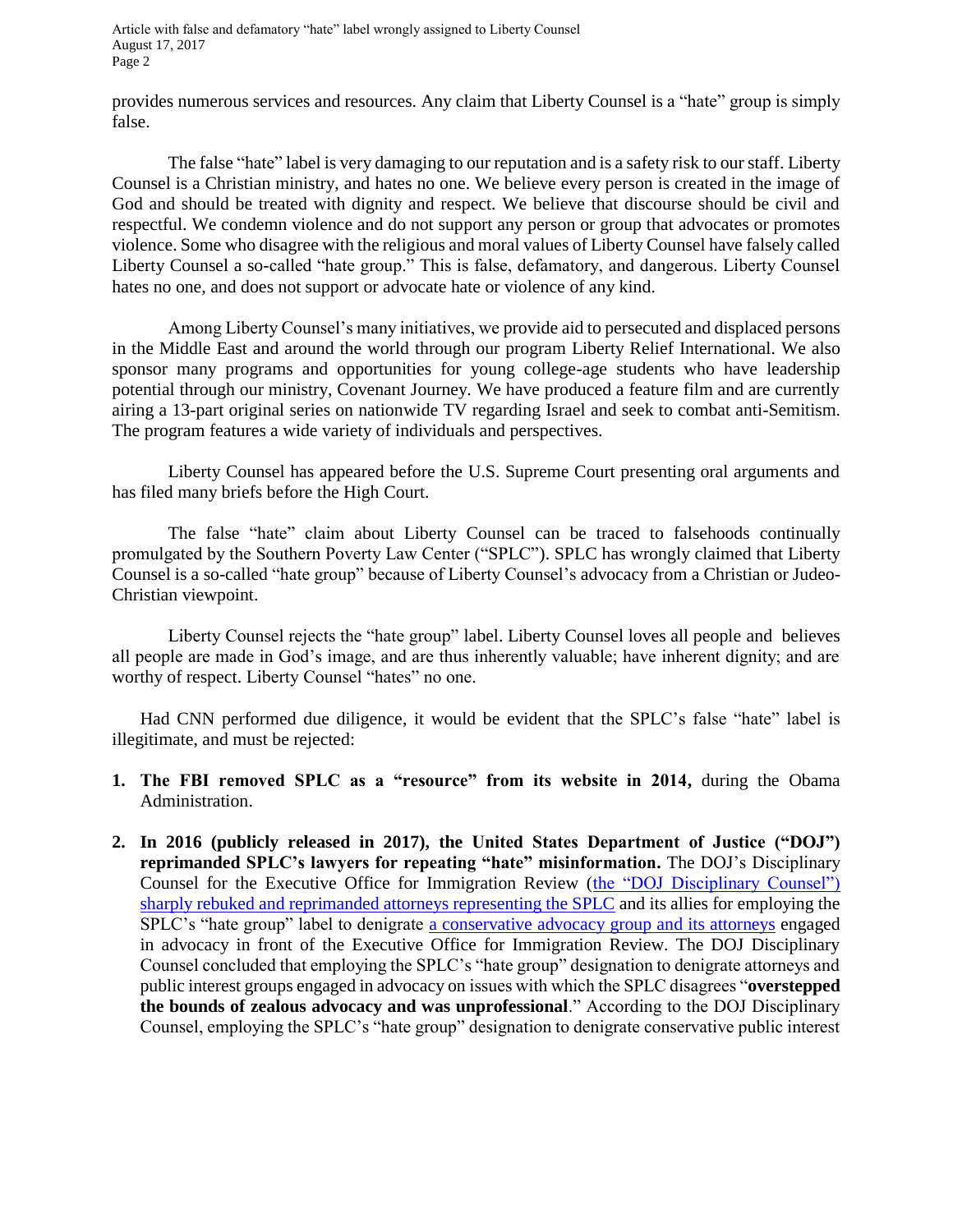provides numerous services and resources. Any claim that Liberty Counsel is a "hate" group is simply false.

The false "hate" label is very damaging to our reputation and is a safety risk to our staff. Liberty Counsel is a Christian ministry, and hates no one. We believe every person is created in the image of God and should be treated with dignity and respect. We believe that discourse should be civil and respectful. We condemn violence and do not support any person or group that advocates or promotes violence. Some who disagree with the religious and moral values of Liberty Counsel have falsely called Liberty Counsel a so-called "hate group." This is false, defamatory, and dangerous. Liberty Counsel hates no one, and does not support or advocate hate or violence of any kind.

Among Liberty Counsel's many initiatives, we provide aid to persecuted and displaced persons in the Middle East and around the world through our program Liberty Relief International. We also sponsor many programs and opportunities for young college-age students who have leadership potential through our ministry, Covenant Journey. We have produced a feature film and are currently airing a 13-part original series on nationwide TV regarding Israel and seek to combat anti-Semitism. The program features a wide variety of individuals and perspectives.

Liberty Counsel has appeared before the U.S. Supreme Court presenting oral arguments and has filed many briefs before the High Court.

The false "hate" claim about Liberty Counsel can be traced to falsehoods continually promulgated by the Southern Poverty Law Center ("SPLC"). SPLC has wrongly claimed that Liberty Counsel is a so-called "hate group" because of Liberty Counsel's advocacy from a Christian or Judeo-Christian viewpoint.

Liberty Counsel rejects the "hate group" label. Liberty Counsel loves all people and believes all people are made in God's image, and are thus inherently valuable; have inherent dignity; and are worthy of respect. Liberty Counsel "hates" no one.

Had CNN performed due diligence, it would be evident that the SPLC's false "hate" label is illegitimate, and must be rejected:

- **1. The FBI removed SPLC as a "resource" from its website in 2014,** during the Obama Administration.
- **2. In 2016 (publicly released in 2017), the United States Department of Justice ("DOJ") reprimanded SPLC's lawyers for repeating "hate" misinformation.** The DOJ's Disciplinary Counsel for the Executive Office for Immigration Review [\(the "DOJ Disciplinary Counsel"\)](http://immigrationreformlawinstitute.org/Docs/EOIRDecision.pdf)  [sharply rebuked and reprimanded attorneys representing the SPLC](http://immigrationreformlawinstitute.org/Docs/EOIRDecision.pdf) and its allies for employing the SPLC's "hate group" label to denigrate [a conservative advocacy group and its attorneys](http://www.irli.org/single-post/2017/05/08/IRLI-Releases-Obama-Justice-Department-Reprimand-of-the-Southern-Poverty-Law-Center-over-its-%E2%80%9CDerogatory%E2%80%9D-Tactics-%E2%80%9CFrivolous-Behavior%E2%80%9D) engaged in advocacy in front of the Executive Office for Immigration Review. The DOJ Disciplinary Counsel concluded that employing the SPLC's "hate group" designation to denigrate attorneys and public interest groups engaged in advocacy on issues with which the SPLC disagrees "**overstepped the bounds of zealous advocacy and was unprofessional**." According to the DOJ Disciplinary Counsel, employing the SPLC's "hate group" designation to denigrate conservative public interest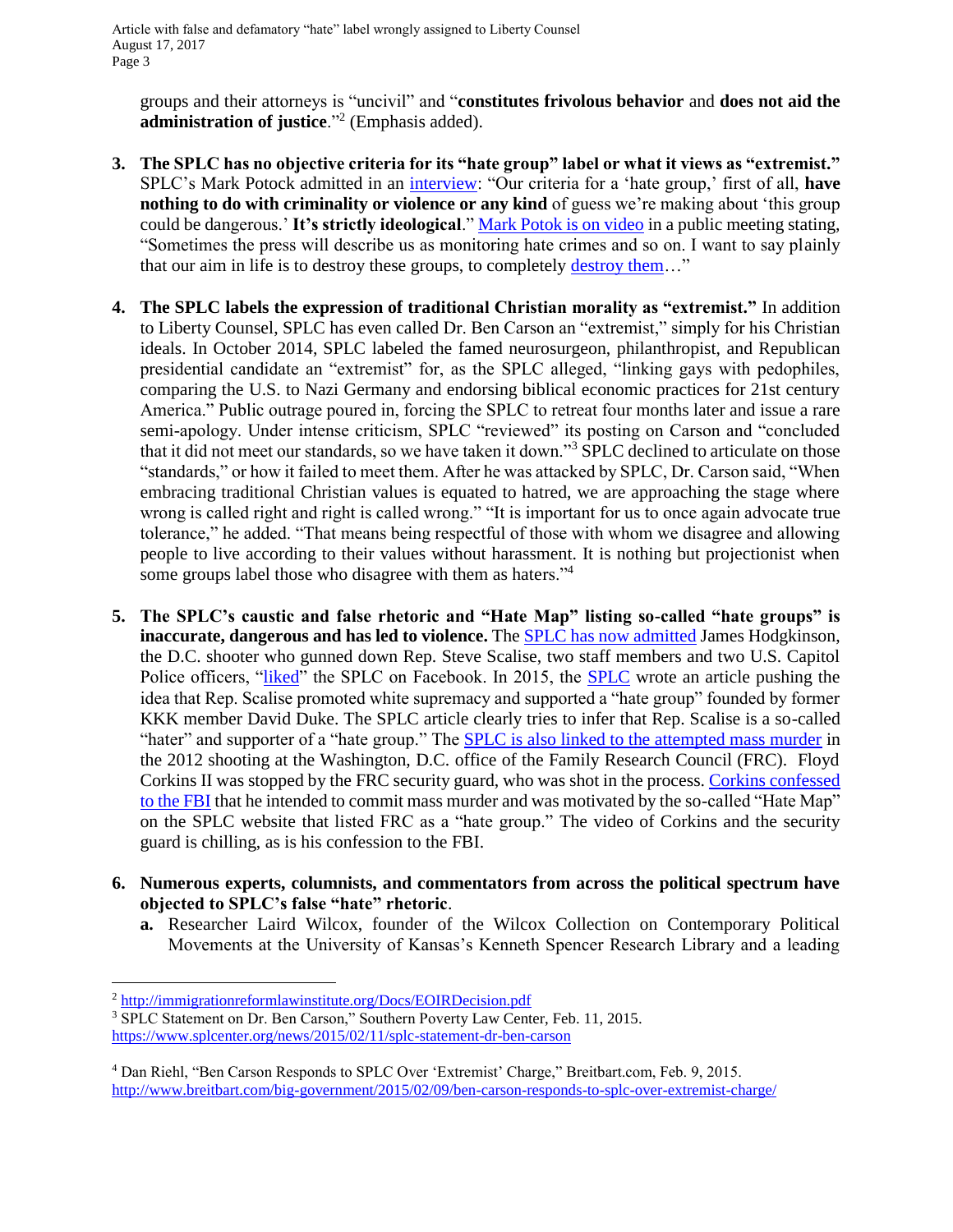groups and their attorneys is "uncivil" and "**constitutes frivolous behavior** and **does not aid the administration of justice**."<sup>2</sup> (Emphasis added).

- **3. The SPLC has no objective criteria for its "hate group" label or what it views as "extremist."** SPLC's Mark Potock admitted in an [interview:](https://rkeefe57.wordpress.com/2014/07/14/splc-mark-potok-interview/) "Our criteria for a 'hate group,' first of all, **have nothing to do with criminality or violence or any kind** of guess we're making about 'this group could be dangerous.' **It's strictly ideological**." [Mark Potok is on video](https://www.youtube.com/watch?v=fnTz2ylJo_8&feature=reImfu) in a public meeting stating, "Sometimes the press will describe us as monitoring hate crimes and so on. I want to say plainly that our aim in life is to destroy these groups, to completely [destroy them…](http://www.breitbart.com/big-government/2016/02/16/southern-poverty-law-center-manufacturing-hate-for-fun-and-profit/)"
- **4. The SPLC labels the expression of traditional Christian morality as "extremist."** In addition to Liberty Counsel, SPLC has even called Dr. Ben Carson an "extremist," simply for his Christian ideals. In October 2014, SPLC labeled the famed neurosurgeon, philanthropist, and Republican presidential candidate an "extremist" for, as the SPLC alleged, "linking gays with pedophiles, comparing the U.S. to Nazi Germany and endorsing biblical economic practices for 21st century America." Public outrage poured in, forcing the SPLC to retreat four months later and issue a rare semi-apology. Under intense criticism, SPLC "reviewed" its posting on Carson and "concluded that it did not meet our standards, so we have taken it down."<sup>3</sup> SPLC declined to articulate on those "standards," or how it failed to meet them. After he was attacked by SPLC, Dr. Carson said, "When embracing traditional Christian values is equated to hatred, we are approaching the stage where wrong is called right and right is called wrong." "It is important for us to once again advocate true tolerance," he added. "That means being respectful of those with whom we disagree and allowing people to live according to their values without harassment. It is nothing but projectionist when some groups label those who disagree with them as haters."<sup>4</sup>
- **5. The SPLC's caustic and false rhetoric and "Hate Map" listing so-called "hate groups" is inaccurate, dangerous and has led to violence.** Th[e SPLC has now admitted](http://www.breitbart.com/big-government/2017/06/14/southern-poverty-law-center-admits-shooter-liked-its-facebook-page-doesnt-retract-repeated-attacks-on-rep-scalise/) James Hodgkinson, the D.C. shooter who gunned down Rep. Steve Scalise, two staff members and two U.S. Capitol Police officers, ["liked"](http://www.wnd.com/2017/06/scalise-shooter-liked-southern-poverty-law-center/?cat_orig=politics) the [SPLC](https://www.splcenter.org/fighting-hate/intelligence-report/2015/house-whip-survives-hate-group-scandal-least-now) on Facebook. In 2015, the SPLC wrote an article pushing the idea that Rep. Scalise promoted white supremacy and supported a "hate group" founded by former KKK member David Duke. The SPLC article clearly tries to infer that Rep. Scalise is a so-called "hater" and supporter of a "hate group." The **SPLC** is also linked to the attempted mass murder in the 2012 shooting at the Washington, D.C. office of the Family Research Council (FRC). Floyd Corkins II was stopped by the FRC security guard, who was shot in the process[. Corkins confessed](https://www.youtube.com/watch?v=nl9BQlSv8Fg)  [to the FBI](https://www.youtube.com/watch?v=nl9BQlSv8Fg) that he intended to commit mass murder and was motivated by the so-called "Hate Map" on the SPLC website that listed FRC as a "hate group." The video of Corkins and the security guard is chilling, as is his confession to the FBI.
- **6. Numerous experts, columnists, and commentators from across the political spectrum have objected to SPLC's false "hate" rhetoric**.
	- **a.** Researcher Laird Wilcox, founder of the Wilcox Collection on Contemporary Political Movements at the University of Kansas's Kenneth Spencer Research Library and a leading

 $\overline{a}$ 

<sup>2</sup> <http://immigrationreformlawinstitute.org/Docs/EOIRDecision.pdf>

<sup>3</sup> SPLC Statement on Dr. Ben Carson," Southern Poverty Law Center, Feb. 11, 2015. <https://www.splcenter.org/news/2015/02/11/splc-statement-dr-ben-carson>

<sup>4</sup> Dan Riehl, "Ben Carson Responds to SPLC Over 'Extremist' Charge," Breitbart.com, Feb. 9, 2015. <http://www.breitbart.com/big-government/2015/02/09/ben-carson-responds-to-splc-over-extremist-charge/>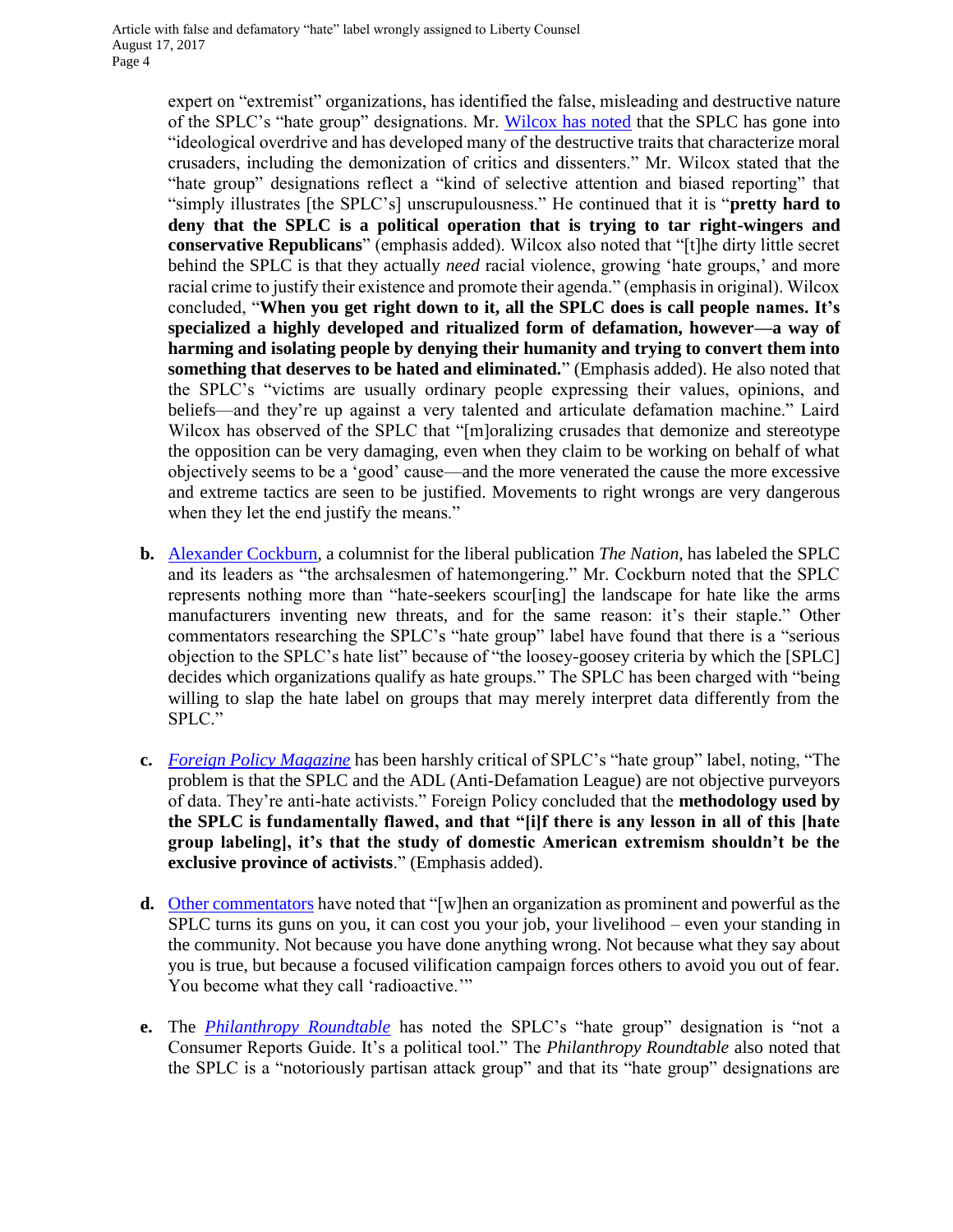expert on "extremist" organizations, has identified the false, misleading and destructive nature of the SPLC's "hate group" designations. Mr. [Wilcox has noted](http://www.thesocialcontract.com/artman2/publish/tsc_20_3/tsc_20_3_wilcox_interview.shtml) that the SPLC has gone into "ideological overdrive and has developed many of the destructive traits that characterize moral crusaders, including the demonization of critics and dissenters." Mr. Wilcox stated that the "hate group" designations reflect a "kind of selective attention and biased reporting" that "simply illustrates [the SPLC's] unscrupulousness." He continued that it is "**pretty hard to deny that the SPLC is a political operation that is trying to tar right-wingers and conservative Republicans**" (emphasis added). Wilcox also noted that "[t]he dirty little secret behind the SPLC is that they actually *need* racial violence, growing 'hate groups,' and more racial crime to justify their existence and promote their agenda." (emphasis in original). Wilcox concluded, "**When you get right down to it, all the SPLC does is call people names. It's specialized a highly developed and ritualized form of defamation, however—a way of harming and isolating people by denying their humanity and trying to convert them into something that deserves to be hated and eliminated.**" (Emphasis added). He also noted that the SPLC's "victims are usually ordinary people expressing their values, opinions, and beliefs—and they're up against a very talented and articulate defamation machine." Laird Wilcox has observed of the SPLC that "[m]oralizing crusades that demonize and stereotype the opposition can be very damaging, even when they claim to be working on behalf of what objectively seems to be a 'good' cause—and the more venerated the cause the more excessive and extreme tactics are seen to be justified. Movements to right wrongs are very dangerous when they let the end justify the means."

- **b.** [Alexander Cockburn,](https://www.thenation.com/article/king-hate-business/) a columnist for the liberal publication *The Nation*, has labeled the SPLC and its leaders as "the archsalesmen of hatemongering." Mr. Cockburn noted that the SPLC represents nothing more than "hate-seekers scour[ing] the landscape for hate like the arms manufacturers inventing new threats, and for the same reason: it's their staple." Other commentators researching the SPLC's "hate group" label have found that there is a "serious objection to the SPLC's hate list" because of "the loosey-goosey criteria by which the [SPLC] decides which organizations qualify as hate groups." The SPLC has been charged with "being willing to slap the hate label on groups that may merely interpret data differently from the SPLC."
- **c.** *[Foreign Policy Magazine](http://foreignpolicy.com/2013/03/12/the-hate-list/)* has been harshly critical of SPLC's "hate group" label, noting, "The problem is that the SPLC and the ADL (Anti-Defamation League) are not objective purveyors of data. They're anti-hate activists." Foreign Policy concluded that the **methodology used by the SPLC is fundamentally flawed, and that "[i]f there is any lesson in all of this [hate group labeling], it's that the study of domestic American extremism shouldn't be the exclusive province of activists**." (Emphasis added).
- **d.** [Other commentators](http://www.breitbart.com/big-government/2016/02/16/southern-poverty-law-center-manufacturing-hate-for-fun-and-profit/) have noted that "[w]hen an organization as prominent and powerful as the SPLC turns its guns on you, it can cost you your job, your livelihood – even your standing in the community. Not because you have done anything wrong. Not because what they say about you is true, but because a focused vilification campaign forces others to avoid you out of fear. You become what they call 'radioactive.'"
- **e.** The *[Philanthropy Roundtable](http://www.philanthropyroundtable.org/topic/excellence_in_philanthropy/some_people_love_to_call_names)* has noted the SPLC's "hate group" designation is "not a Consumer Reports Guide. It's a political tool." The *Philanthropy Roundtable* also noted that the SPLC is a "notoriously partisan attack group" and that its "hate group" designations are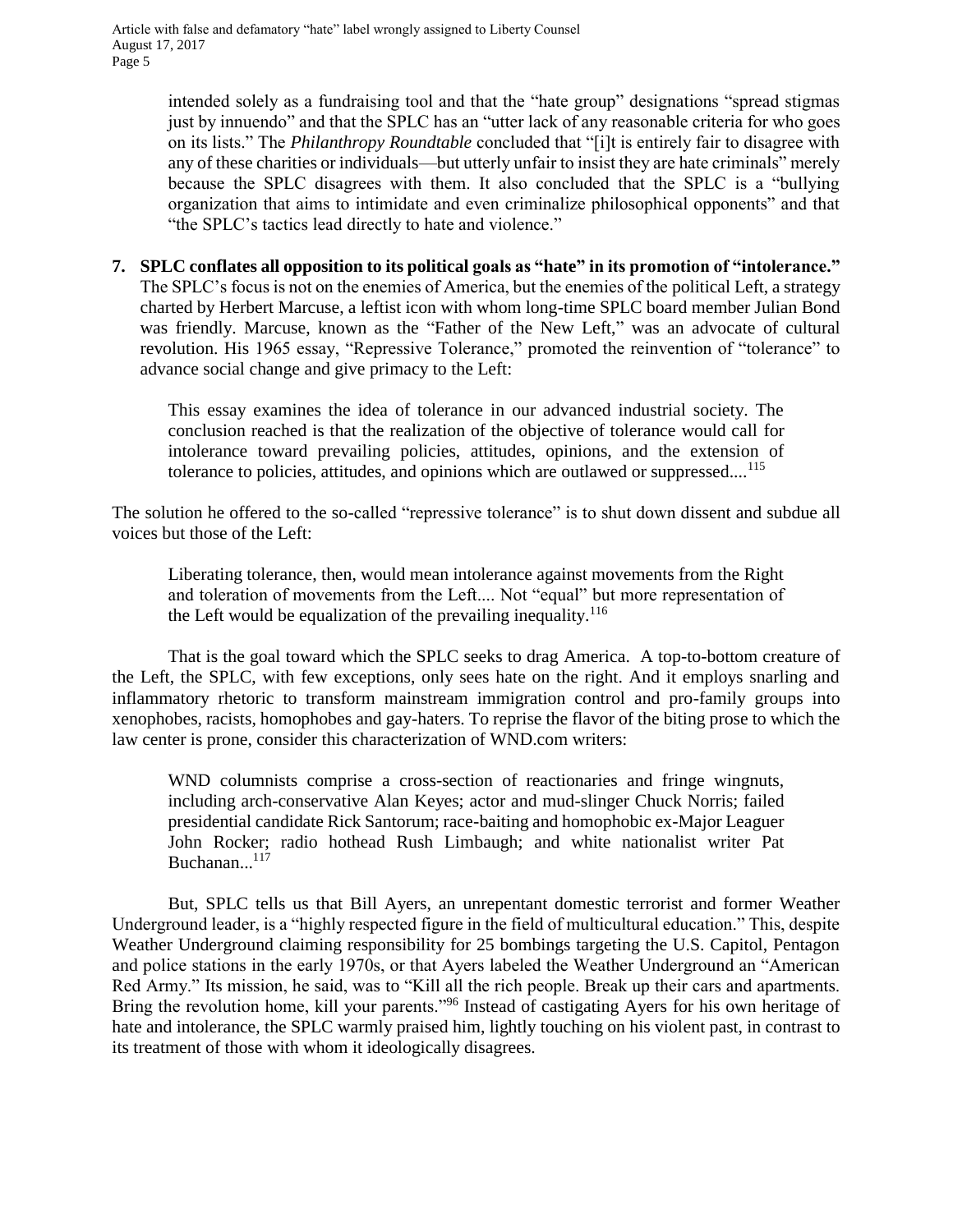> intended solely as a fundraising tool and that the "hate group" designations "spread stigmas just by innuendo" and that the SPLC has an "utter lack of any reasonable criteria for who goes on its lists." The *Philanthropy Roundtable* concluded that "[i]t is entirely fair to disagree with any of these charities or individuals—but utterly unfair to insist they are hate criminals" merely because the SPLC disagrees with them. It also concluded that the SPLC is a "bullying organization that aims to intimidate and even criminalize philosophical opponents" and that "the SPLC's tactics lead directly to hate and violence."

**7. SPLC conflates all opposition to its political goals as "hate" in its promotion of "intolerance."** The SPLC's focus is not on the enemies of America, but the enemies of the political Left, a strategy charted by Herbert Marcuse, a leftist icon with whom long-time SPLC board member Julian Bond was friendly. Marcuse, known as the "Father of the New Left," was an advocate of cultural revolution. His 1965 essay, "Repressive Tolerance," promoted the reinvention of "tolerance" to advance social change and give primacy to the Left:

This essay examines the idea of tolerance in our advanced industrial society. The conclusion reached is that the realization of the objective of tolerance would call for intolerance toward prevailing policies, attitudes, opinions, and the extension of tolerance to policies, attitudes, and opinions which are outlawed or suppressed... $^{115}$ 

The solution he offered to the so-called "repressive tolerance" is to shut down dissent and subdue all voices but those of the Left:

Liberating tolerance, then, would mean intolerance against movements from the Right and toleration of movements from the Left.... Not "equal" but more representation of the Left would be equalization of the prevailing inequality.  $116$ 

That is the goal toward which the SPLC seeks to drag America. A top-to-bottom creature of the Left, the SPLC, with few exceptions, only sees hate on the right. And it employs snarling and inflammatory rhetoric to transform mainstream immigration control and pro-family groups into xenophobes, racists, homophobes and gay-haters. To reprise the flavor of the biting prose to which the law center is prone, consider this characterization of WND.com writers:

WND columnists comprise a cross-section of reactionaries and fringe wingnuts, including arch-conservative Alan Keyes; actor and mud-slinger Chuck Norris; failed presidential candidate Rick Santorum; race-baiting and homophobic ex-Major Leaguer John Rocker; radio hothead Rush Limbaugh; and white nationalist writer Pat Buchanan... $^{117}$ 

But, SPLC tells us that Bill Ayers, an unrepentant domestic terrorist and former Weather Underground leader, is a "highly respected figure in the field of multicultural education." This, despite Weather Underground claiming responsibility for 25 bombings targeting the U.S. Capitol, Pentagon and police stations in the early 1970s, or that Ayers labeled the Weather Underground an "American Red Army." Its mission, he said, was to "Kill all the rich people. Break up their cars and apartments. Bring the revolution home, kill your parents."<sup>96</sup> Instead of castigating Ayers for his own heritage of hate and intolerance, the SPLC warmly praised him, lightly touching on his violent past, in contrast to its treatment of those with whom it ideologically disagrees.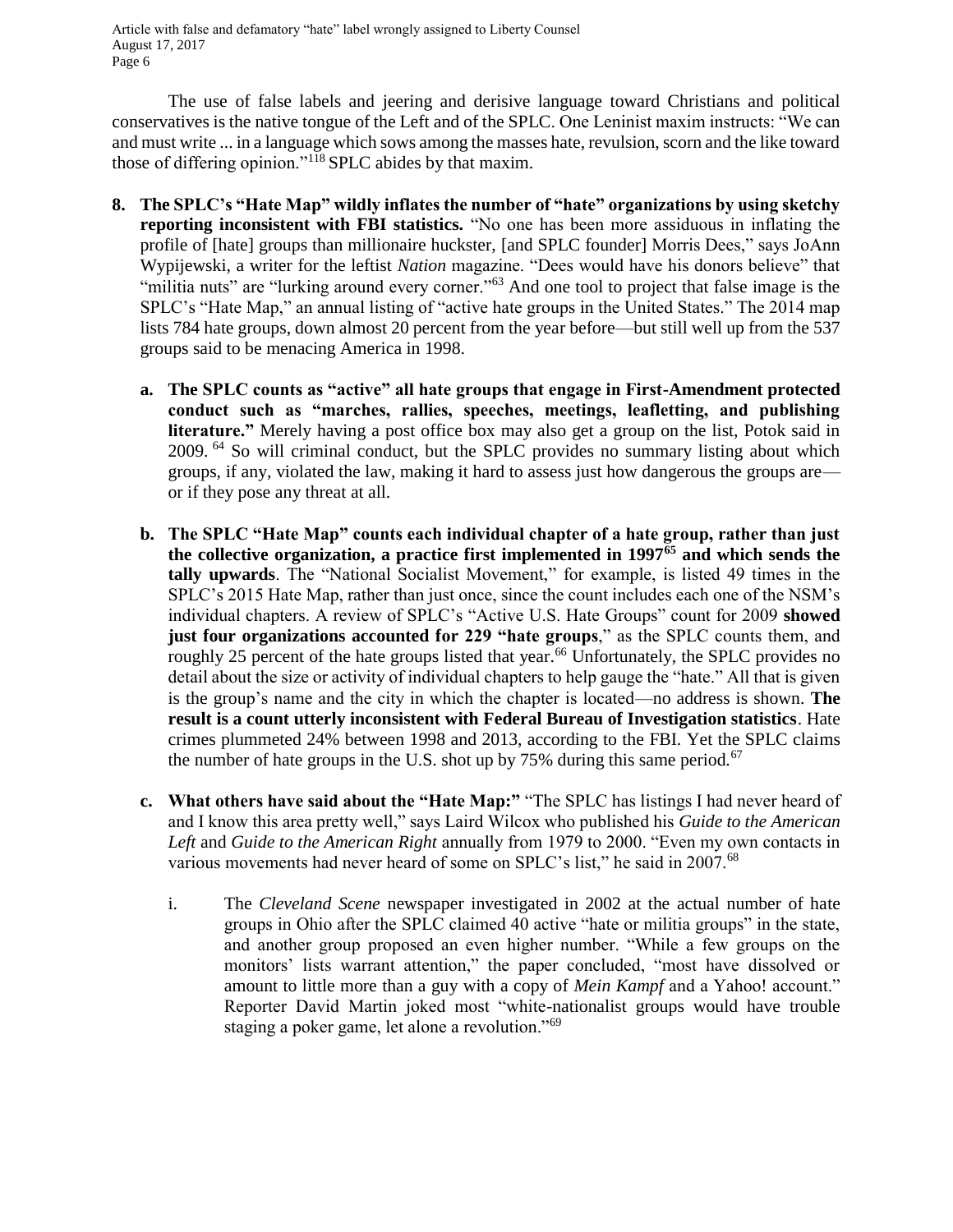The use of false labels and jeering and derisive language toward Christians and political conservatives is the native tongue of the Left and of the SPLC. One Leninist maxim instructs: "We can and must write ... in a language which sows among the masses hate, revulsion, scorn and the like toward those of differing opinion."<sup>118</sup> SPLC abides by that maxim.

- **8. The SPLC's "Hate Map" wildly inflates the number of "hate" organizations by using sketchy reporting inconsistent with FBI statistics.** "No one has been more assiduous in inflating the profile of [hate] groups than millionaire huckster, [and SPLC founder] Morris Dees," says JoAnn Wypijewski, a writer for the leftist *Nation* magazine. "Dees would have his donors believe" that "militia nuts" are "lurking around every corner."<sup>63</sup> And one tool to project that false image is the SPLC's "Hate Map," an annual listing of "active hate groups in the United States." The 2014 map lists 784 hate groups, down almost 20 percent from the year before—but still well up from the 537 groups said to be menacing America in 1998.
	- **a. The SPLC counts as "active" all hate groups that engage in First-Amendment protected conduct such as "marches, rallies, speeches, meetings, leafletting, and publishing literature."** Merely having a post office box may also get a group on the list, Potok said in 2009. <sup>64</sup> So will criminal conduct, but the SPLC provides no summary listing about which groups, if any, violated the law, making it hard to assess just how dangerous the groups are or if they pose any threat at all.
	- **b. The SPLC "Hate Map" counts each individual chapter of a hate group, rather than just the collective organization, a practice first implemented in 1997<sup>65</sup> and which sends the tally upwards**. The "National Socialist Movement," for example, is listed 49 times in the SPLC's 2015 Hate Map, rather than just once, since the count includes each one of the NSM's individual chapters. A review of SPLC's "Active U.S. Hate Groups" count for 2009 **showed just four organizations accounted for 229 "hate groups**," as the SPLC counts them, and roughly 25 percent of the hate groups listed that year.<sup>66</sup> Unfortunately, the SPLC provides no detail about the size or activity of individual chapters to help gauge the "hate." All that is given is the group's name and the city in which the chapter is located—no address is shown. **The result is a count utterly inconsistent with Federal Bureau of Investigation statistics**. Hate crimes plummeted 24% between 1998 and 2013, according to the FBI. Yet the SPLC claims the number of hate groups in the U.S. shot up by 75% during this same period.<sup>67</sup>
	- **c. What others have said about the "Hate Map:"** "The SPLC has listings I had never heard of and I know this area pretty well," says Laird Wilcox who published his *Guide to the American Left* and *Guide to the American Right* annually from 1979 to 2000. "Even my own contacts in various movements had never heard of some on SPLC's list," he said in 2007.<sup>68</sup>
		- i. The *Cleveland Scene* newspaper investigated in 2002 at the actual number of hate groups in Ohio after the SPLC claimed 40 active "hate or militia groups" in the state, and another group proposed an even higher number. "While a few groups on the monitors' lists warrant attention," the paper concluded, "most have dissolved or amount to little more than a guy with a copy of *Mein Kampf* and a Yahoo! account." Reporter David Martin joked most "white-nationalist groups would have trouble staging a poker game, let alone a revolution."<sup>69</sup>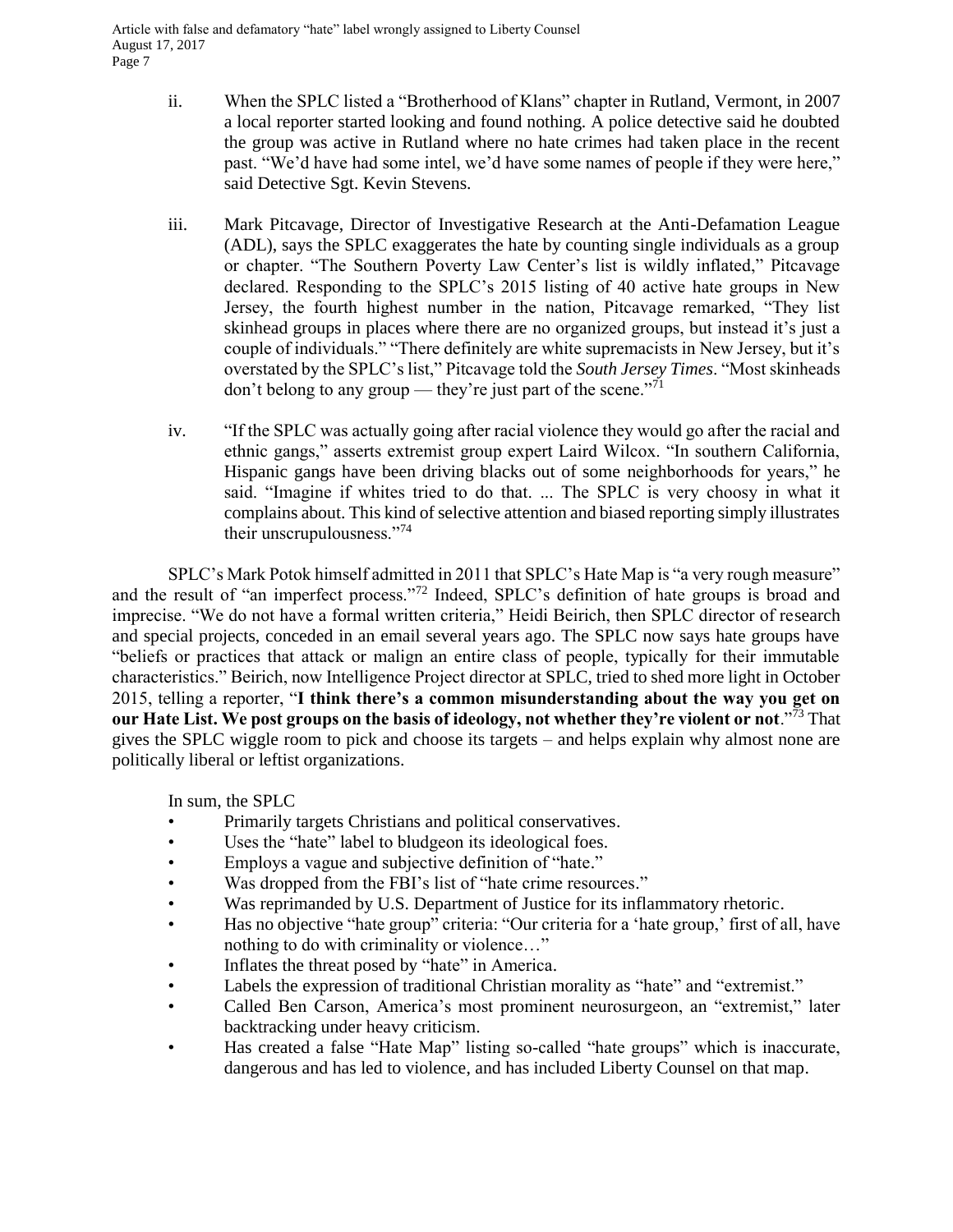- ii. When the SPLC listed a "Brotherhood of Klans" chapter in Rutland, Vermont, in 2007 a local reporter started looking and found nothing. A police detective said he doubted the group was active in Rutland where no hate crimes had taken place in the recent past. "We'd have had some intel, we'd have some names of people if they were here," said Detective Sgt. Kevin Stevens.
- iii. Mark Pitcavage, Director of Investigative Research at the Anti-Defamation League (ADL), says the SPLC exaggerates the hate by counting single individuals as a group or chapter. "The Southern Poverty Law Center's list is wildly inflated," Pitcavage declared. Responding to the SPLC's 2015 listing of 40 active hate groups in New Jersey, the fourth highest number in the nation, Pitcavage remarked, "They list skinhead groups in places where there are no organized groups, but instead it's just a couple of individuals." "There definitely are white supremacists in New Jersey, but it's overstated by the SPLC's list," Pitcavage told the *South Jersey Times*. "Most skinheads don't belong to any group — they're just part of the scene."<sup>71</sup>
- iv. "If the SPLC was actually going after racial violence they would go after the racial and ethnic gangs," asserts extremist group expert Laird Wilcox. "In southern California, Hispanic gangs have been driving blacks out of some neighborhoods for years," he said. "Imagine if whites tried to do that. ... The SPLC is very choosy in what it complains about. This kind of selective attention and biased reporting simply illustrates their unscrupulousness."<sup>74</sup>

SPLC's Mark Potok himself admitted in 2011 that SPLC's Hate Map is "a very rough measure" and the result of "an imperfect process."<sup>72</sup> Indeed, SPLC's definition of hate groups is broad and imprecise. "We do not have a formal written criteria," Heidi Beirich, then SPLC director of research and special projects, conceded in an email several years ago. The SPLC now says hate groups have "beliefs or practices that attack or malign an entire class of people, typically for their immutable characteristics." Beirich, now Intelligence Project director at SPLC, tried to shed more light in October 2015, telling a reporter, "**I think there's a common misunderstanding about the way you get on our Hate List. We post groups on the basis of ideology, not whether they're violent or not**."<sup>73</sup> That gives the SPLC wiggle room to pick and choose its targets – and helps explain why almost none are politically liberal or leftist organizations.

In sum, the SPLC

- Primarily targets Christians and political conservatives.
- Uses the "hate" label to bludgeon its ideological foes.
- Employs a vague and subjective definition of "hate."
- Was dropped from the FBI's list of "hate crime resources."
- Was reprimanded by U.S. Department of Justice for its inflammatory rhetoric.
- Has no objective "hate group" criteria: "Our criteria for a 'hate group,' first of all, have nothing to do with criminality or violence…"
- Inflates the threat posed by "hate" in America.
- Labels the expression of traditional Christian morality as "hate" and "extremist."
- Called Ben Carson, America's most prominent neurosurgeon, an "extremist," later backtracking under heavy criticism.
- Has created a false "Hate Map" listing so-called "hate groups" which is inaccurate, dangerous and has led to violence, and has included Liberty Counsel on that map.